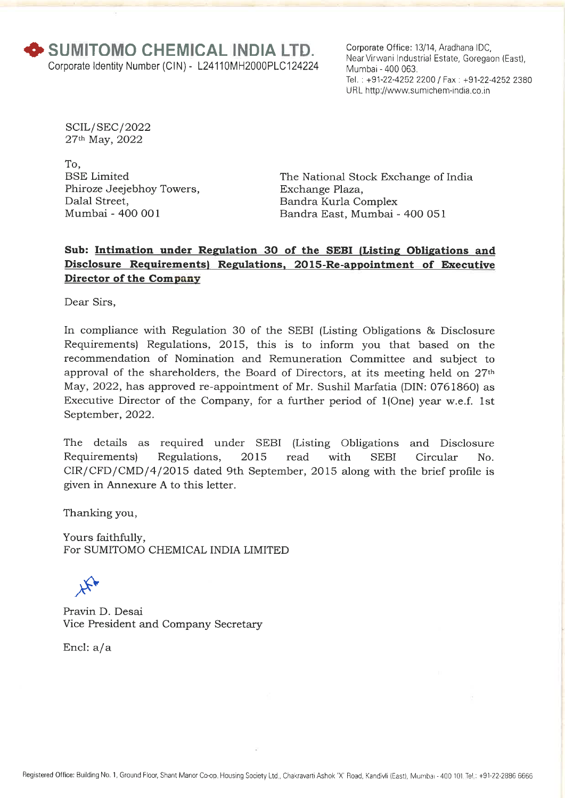Corporate Office: 13/14, Aradhana IDC, Near Virwani Industrial Estate, Goregaon (East), Mumbai - 400 063. Tel.: +91-22-4252 2200 / Fax : +91-22-4252 2380 URL http://www.sumichem-india.co.in

SCIL/ SEC/ 2022 27th May, 2022

To, BSE Limited Phiroze Jeejebhoy Towers, Dalal Street, Mumbai - 400 001

The National Stock Exchange of India Exchange Plaza, Bandra Kurla Complex Bandra East, Mumbai - 400 051

## **Sub: Intimation under Regulation 30 of the SEBI (Listing Obligations and Disclosure Requirements) Regulations, 2015-Re-appointment of Executive Director of the Company**

Dear Sirs,

In compliance with Regulation 30 of the SEBI (Listing Obligations *85* Disclosure Requirements) Regulations, 2015, this is to inform you that based on the recommendation of Nomination and Remuneration Committee and subject to approval of the shareholders, the Board of Directors, at its meeting held on 27th May, 2022, has approved re-appointment of Mr. Sushil Marfatia (DIN: 0761860) as Executive Director of the Company, for a further period of 1(One) year w.e.f. 1st September, 2022.

The details as required under SEBI (Listing Obligations and Disclosure Requirements) Regulations, 2015 read with SEBI Circular No. CIR/CFD/CMD/4/2015 dated 9th September, 2015 along with the brief profile is given in Annexure A to this letter.

Thanking you,

Yours faithfully, For SUMITOMO CHEMICAL INDIA LIMITED

Pravin D. Desai Vice President and Company Secretary

Encl: a/a